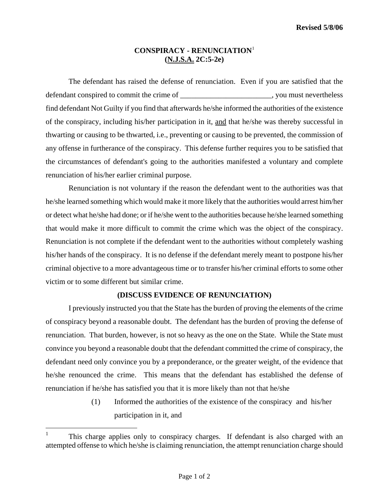## **CONSPIRACY - RENUNCIATION**[1](#page-0-0)  **(N.J.S.A. 2C:5-2e)**

The defendant has raised the defense of renunciation. Even if you are satisfied that the defendant conspired to commit the crime of  $\blacksquare$ , you must nevertheless find defendant Not Guilty if you find that afterwards he/she informed the authorities of the existence of the conspiracy, including his/her participation in it, and that he/she was thereby successful in thwarting or causing to be thwarted, i.e., preventing or causing to be prevented, the commission of any offense in furtherance of the conspiracy. This defense further requires you to be satisfied that the circumstances of defendant's going to the authorities manifested a voluntary and complete renunciation of his/her earlier criminal purpose.

Renunciation is not voluntary if the reason the defendant went to the authorities was that he/she learned something which would make it more likely that the authorities would arrest him/her or detect what he/she had done; or if he/she went to the authorities because he/she learned something that would make it more difficult to commit the crime which was the object of the conspiracy. Renunciation is not complete if the defendant went to the authorities without completely washing his/her hands of the conspiracy. It is no defense if the defendant merely meant to postpone his/her criminal objective to a more advantageous time or to transfer his/her criminal efforts to some other victim or to some different but similar crime.

## **(DISCUSS EVIDENCE OF RENUNCIATION)**

I previously instructed you that the State has the burden of proving the elements of the crime of conspiracy beyond a reasonable doubt. The defendant has the burden of proving the defense of renunciation. That burden, however, is not so heavy as the one on the State. While the State must convince you beyond a reasonable doubt that the defendant committed the crime of conspiracy, the defendant need only convince you by a preponderance, or the greater weight, of the evidence that he/she renounced the crime. This means that the defendant has established the defense of renunciation if he/she has satisfied you that it is more likely than not that he/she

> (1) Informed the authorities of the existence of the conspiracy and his/her participation in it, and

<span id="page-0-0"></span> $\mathbf{1}$ This charge applies only to conspiracy charges. If defendant is also charged with an attempted offense to which he/she is claiming renunciation, the attempt renunciation charge should